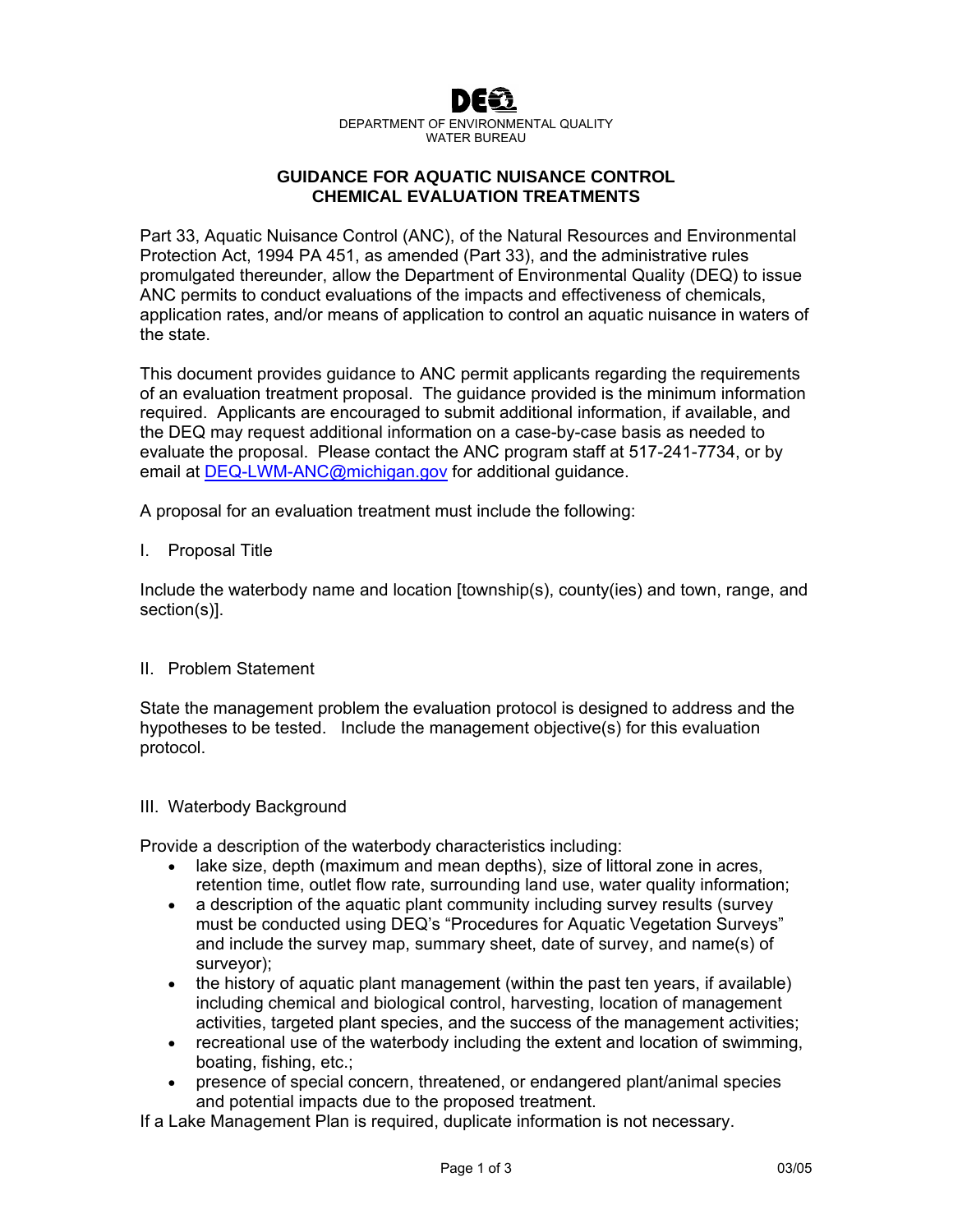

DEPARTMENT OF ENVIRONMENTAL QUALITY WATER BUREAU

# **GUIDANCE FOR AQUATIC NUISANCE CONTROL CHEMICAL EVALUATION TREATMENTS**

Part 33, Aquatic Nuisance Control (ANC), of the Natural Resources and Environmental Protection Act, 1994 PA 451, as amended (Part 33), and the administrative rules promulgated thereunder, allow the Department of Environmental Quality (DEQ) to issue ANC permits to conduct evaluations of the impacts and effectiveness of chemicals, application rates, and/or means of application to control an aquatic nuisance in waters of the state.

This document provides guidance to ANC permit applicants regarding the requirements of an evaluation treatment proposal. The guidance provided is the minimum information required. Applicants are encouraged to submit additional information, if available, and the DEQ may request additional information on a case-by-case basis as needed to evaluate the proposal. Please contact the ANC program staff at 517-241-7734, or by email at [DEQ-LWM-ANC@michigan.gov](mailto:DEQ-LWM-ANC@michigan.gov) for additional guidance.

A proposal for an evaluation treatment must include the following:

## I. Proposal Title

Include the waterbody name and location [township(s), county(ies) and town, range, and section(s)].

# II. Problem Statement

State the management problem the evaluation protocol is designed to address and the hypotheses to be tested. Include the management objective(s) for this evaluation protocol.

#### III. Waterbody Background

Provide a description of the waterbody characteristics including:

- lake size, depth (maximum and mean depths), size of littoral zone in acres, retention time, outlet flow rate, surrounding land use, water quality information;
- a description of the aquatic plant community including survey results (survey must be conducted using DEQ's "Procedures for Aquatic Vegetation Surveys" and include the survey map, summary sheet, date of survey, and name(s) of surveyor);
- the history of aquatic plant management (within the past ten years, if available) including chemical and biological control, harvesting, location of management activities, targeted plant species, and the success of the management activities;
- recreational use of the waterbody including the extent and location of swimming, boating, fishing, etc.;
- presence of special concern, threatened, or endangered plant/animal species and potential impacts due to the proposed treatment.

If a Lake Management Plan is required, duplicate information is not necessary.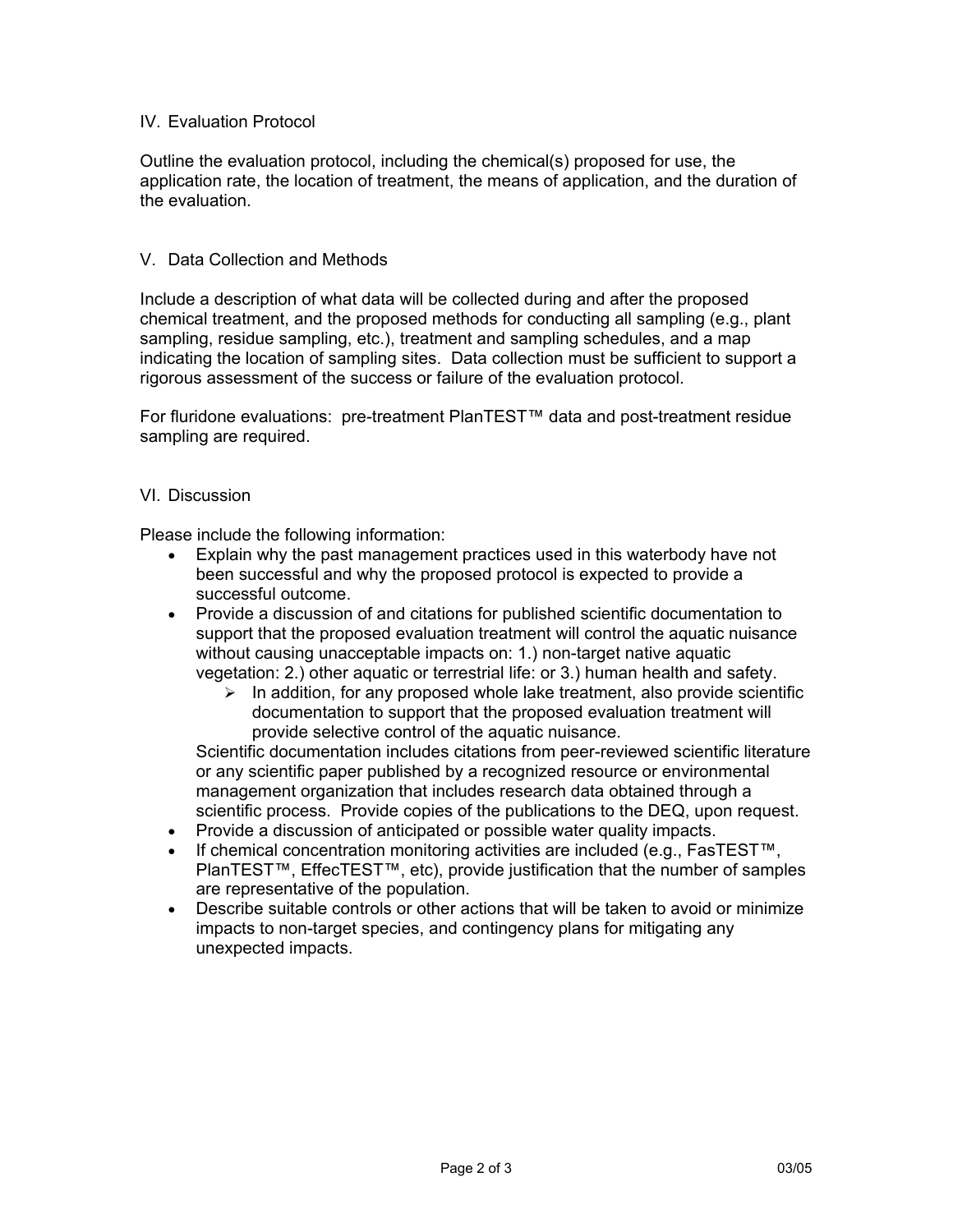# IV. Evaluation Protocol

Outline the evaluation protocol, including the chemical(s) proposed for use, the application rate, the location of treatment, the means of application, and the duration of the evaluation.

## V. Data Collection and Methods

Include a description of what data will be collected during and after the proposed chemical treatment, and the proposed methods for conducting all sampling (e.g., plant sampling, residue sampling, etc.), treatment and sampling schedules, and a map indicating the location of sampling sites. Data collection must be sufficient to support a rigorous assessment of the success or failure of the evaluation protocol.

For fluridone evaluations: pre-treatment PlanTEST™ data and post-treatment residue sampling are required.

#### VI. Discussion

Please include the following information:

- Explain why the past management practices used in this waterbody have not been successful and why the proposed protocol is expected to provide a successful outcome.
- Provide a discussion of and citations for published scientific documentation to support that the proposed evaluation treatment will control the aquatic nuisance without causing unacceptable impacts on: 1.) non-target native aquatic vegetation: 2.) other aquatic or terrestrial life: or 3.) human health and safety.
	- $\triangleright$  In addition, for any proposed whole lake treatment, also provide scientific documentation to support that the proposed evaluation treatment will provide selective control of the aquatic nuisance.

Scientific documentation includes citations from peer-reviewed scientific literature or any scientific paper published by a recognized resource or environmental management organization that includes research data obtained through a scientific process. Provide copies of the publications to the DEQ, upon request.

- Provide a discussion of anticipated or possible water quality impacts.
- If chemical concentration monitoring activities are included (e.g., FasTEST™, PlanTEST™, EffecTEST™, etc), provide justification that the number of samples are representative of the population.
- Describe suitable controls or other actions that will be taken to avoid or minimize impacts to non-target species, and contingency plans for mitigating any unexpected impacts.